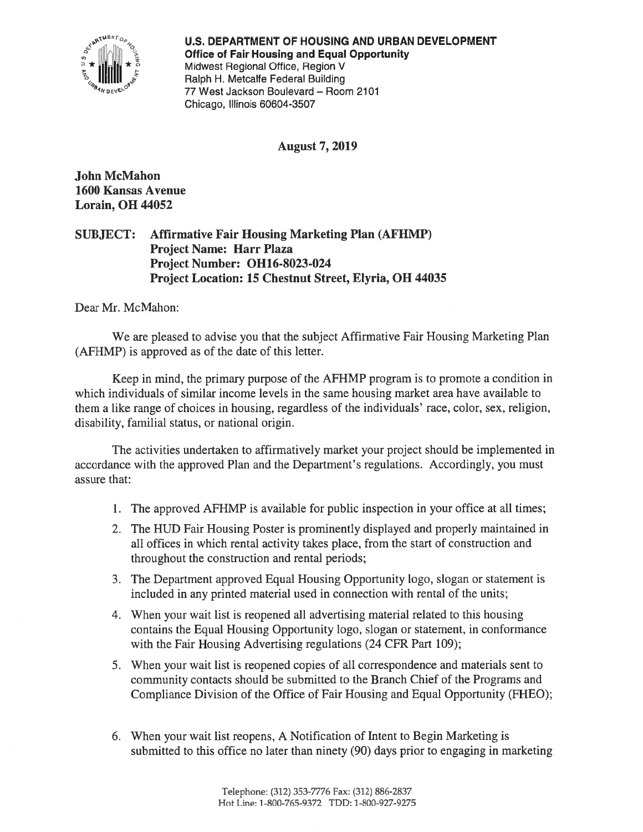

U.S. DEPARTMENT OF HOUSING AND URBAN DEVELOPMENT ? [: Ii] <sup>0</sup> Office of Fair Housing and Equal Opportunity \* Midwest Regional Office, Region V Ralph H. Metcalfe Federal Building 77 West Jackson Boulevard — Room 2107 Chicago, Illinois 60604-3507

August 7, 2019

John McMahon 1600 Kansas Avenue Lorain, OH 44052

SUBJECT: Affirmative Fair Housing Marketing Plan (AFHMP) Project Name: Harr Plaza Project Number: 0H16-8023-024 Project Location: 15 Chestnut Street, Elyria, OH 44035

Dear Mr. McMahon:

We are pleased to advise you that the subject Affirmative Fair Housing Marketing Plan (AFHMP) is approved as of the date of this letter.

Keep in mind, the primary purpose of the AFHMP program is to promote <sup>a</sup> condition in which individuals of similar income levels in the same housing market area have available to them <sup>a</sup> like range of choices in housing, regardless of the individuals' race, color, sex, religion, disability, familial status, or national origin.

The activities undertaken to affirmatively market your project should be implemented in accordance with the approved Plan and the Department's regulations. Accordingly, you must assure that:

- 1. The approved AFHMP is available for public inspection in your office at all times;
- 2. The HUD fair Housing Poster is prominently displayed and properly maintained in all offices in which rental activity takes place, from the start of construction and throughout the construction and rental periods;
- 3. The Department approved Equal Housing Opportunity logo, slogan or statement is included in any printed material used in connection with rental of the units;
- 4. When your wait list is reopened all advertising material related to this housing contains the Equal Housing Opportunity logo, slogan or statement, in conformance with the Fair Housing Advertising regulations (24 CFR Part 109);
- 5. When your wait list is reopened copies of all correspondence and materials sent to community contacts should be submitted to the Branch Chief of the Programs and Compliance Division of the Office of Fair Housing and Equal Opportunity (FHEO);
- 6. When your wait list reopens, A Notification of Intent to Begin Marketing is submitted to this office no later than ninety (90) days prior to engaging in marketing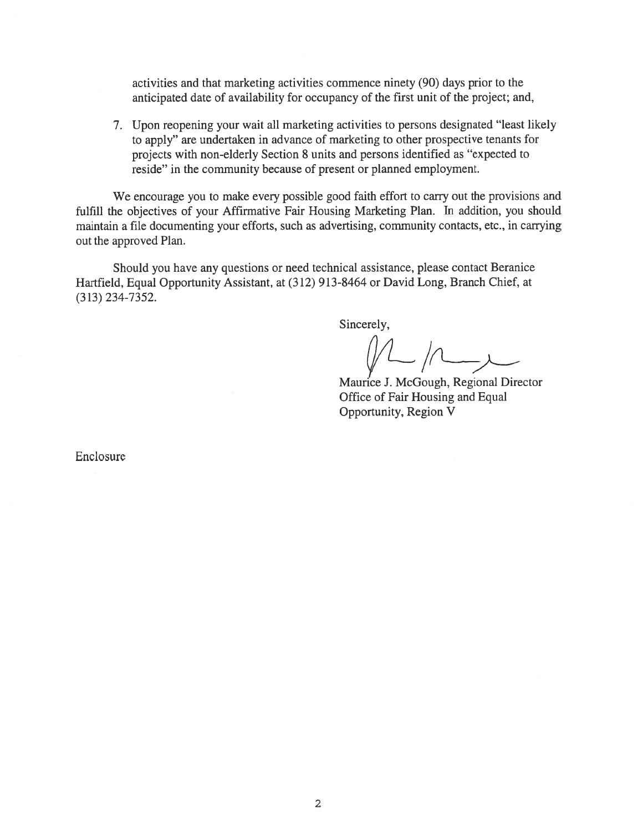activities and that marketing activities commence ninety (90) days prior to the anticipated date of availability for occupancy of the first unit of the project; and,

7. Upon reopening your wait all marketing activities to persons designated "least likely to apply" are undertaken in advance of marketing to other prospective tenants for projects with non-elderly Section 8 units and persons identified as "expected to reside" in the community because of presen<sup>t</sup> or planned employment.

We encourage you to make every possible good faith effort to carry out the provisions and fulfill the objectives of your Affirmative Fair Housing Marketing Plan. In addition, you should maintain <sup>a</sup> file documenting your efforts, such as advertising, community contacts, etc., in carrying out the approved Plan.

Should you have any questions or need technical assistance, please contact Beranice Hartfield, Equal Opportunity Assistant, at (312) 913-8464 or David Long, Branch Chief, at (313) 234-7352.

Sincerely,

Maurice I. McGough, Regional Director Office of Fair Housing and Equal Opportunity, Region V

Enclosure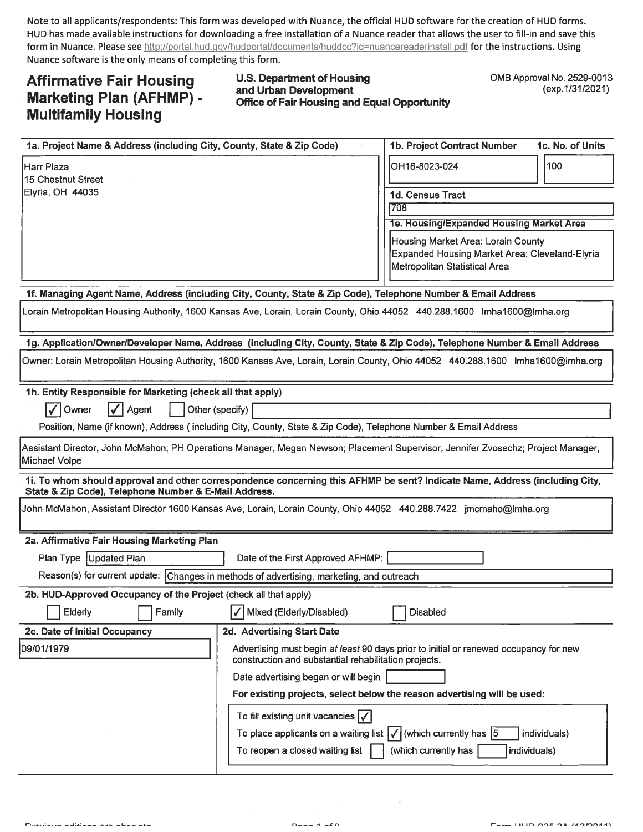Note to all applicants/respondents: This form was developed with Nuance, the official HUD software for the creation of HUD forms. HUD has made available instructions for downloading <sup>a</sup> free installation of <sup>a</sup> Nuance reader that allows the user to fill-in and save this form in Nuance. Please see http://portal.hud.gov/hudportal/documents/huddoc?id=nuancereaderinstall.pdf for the instructions. Using Nuance software is the only means of completing this form.

# Affirmative Fair Housing Marketing Plan (AFHMP) - Multifamily Housing

# U.S. Department of Housing and Urban Development Office of Fair Housing and Equal Opportunity

0MB Approval No. 2529-0013 (exp.1/31/2021)

| 1a. Project Name & Address (including City, County, State & Zip Code)                                                                                                                | 1b. Project Contract Number                                              | 1c. No. of Units                                                                      |              |  |
|--------------------------------------------------------------------------------------------------------------------------------------------------------------------------------------|--------------------------------------------------------------------------|---------------------------------------------------------------------------------------|--------------|--|
| <b>Harr Plaza</b><br>15 Chestnut Street                                                                                                                                              |                                                                          | OH16-8023-024                                                                         | 100          |  |
| Elyria, OH 44035                                                                                                                                                                     |                                                                          | 1d. Census Tract                                                                      |              |  |
|                                                                                                                                                                                      |                                                                          | 708                                                                                   |              |  |
|                                                                                                                                                                                      |                                                                          | 1e. Housing/Expanded Housing Market Area                                              |              |  |
|                                                                                                                                                                                      |                                                                          | Housing Market Area: Lorain County                                                    |              |  |
|                                                                                                                                                                                      |                                                                          | Expanded Housing Market Area: Cleveland-Elyria<br>Metropolitan Statistical Area       |              |  |
|                                                                                                                                                                                      |                                                                          |                                                                                       |              |  |
| 1f. Managing Agent Name, Address (including City, County, State & Zip Code), Telephone Number & Email Address                                                                        |                                                                          |                                                                                       |              |  |
| Lorain Metropolitan Housing Authority, 1600 Kansas Ave, Lorain, Lorain County, Ohio 44052 440.288.1600 Imha1600@lmha.org                                                             |                                                                          |                                                                                       |              |  |
| 1g. Application/Owner/Developer Name, Address (including City, County, State & Zip Code), Telephone Number & Email Address                                                           |                                                                          |                                                                                       |              |  |
| Owner: Lorain Metropolitan Housing Authority, 1600 Kansas Ave, Lorain, Lorain County, Ohio 44052 440.288.1600 Imha1600@Imha.org                                                      |                                                                          |                                                                                       |              |  |
| 1h. Entity Responsible for Marketing (check all that apply)                                                                                                                          |                                                                          |                                                                                       |              |  |
| Owner<br><b>√ Agent</b><br>Other (specify)                                                                                                                                           |                                                                          |                                                                                       |              |  |
| Position, Name (if known), Address (including City, County, State & Zip Code), Telephone Number & Email Address                                                                      |                                                                          |                                                                                       |              |  |
| Assistant Director, John McMahon; PH Operations Manager, Megan Newson; Placement Supervisor, Jennifer Zvosechz; Project Manager,<br>Michael Volpe                                    |                                                                          |                                                                                       |              |  |
| 1i. To whom should approval and other correspondence concerning this AFHMP be sent? Indicate Name, Address (including City,<br>State & Zip Code), Telephone Number & E-Mail Address. |                                                                          |                                                                                       |              |  |
| John McMahon, Assistant Director 1600 Kansas Ave, Lorain, Lorain County, Ohio 44052 440.288.7422 jmcmaho@lmha.org                                                                    |                                                                          |                                                                                       |              |  |
| 2a. Affirmative Fair Housing Marketing Plan                                                                                                                                          |                                                                          |                                                                                       |              |  |
| Plan Type Updated Plan<br>Date of the First Approved AFHMP:                                                                                                                          |                                                                          |                                                                                       |              |  |
| Reason(s) for current update: Changes in methods of advertising, marketing, and outreach                                                                                             |                                                                          |                                                                                       |              |  |
| 2b. HUD-Approved Occupancy of the Project (check all that apply)                                                                                                                     |                                                                          |                                                                                       |              |  |
| $\overline{\phantom{a}}$<br><b>Elderly</b><br>Family                                                                                                                                 | $\overline{\phantom{0}}$<br>Mixed (Elderly/Disabled)                     | <b>Disabled</b>                                                                       |              |  |
| 2c. Date of Initial Occupancy                                                                                                                                                        | 2d. Advertising Start Date                                               |                                                                                       |              |  |
| 09/01/1979                                                                                                                                                                           | construction and substantial rehabilitation projects.                    | Advertising must begin at least 90 days prior to initial or renewed occupancy for new |              |  |
|                                                                                                                                                                                      | Date advertising began or will begin                                     |                                                                                       |              |  |
|                                                                                                                                                                                      | For existing projects, select below the reason advertising will be used: |                                                                                       |              |  |
|                                                                                                                                                                                      | To fill existing unit vacancies $\sqrt{\phantom{a}}$                     |                                                                                       |              |  |
| To place applicants on a waiting list $\vert \sqrt{\vert}$ (which currently has $\vert 5 \vert$                                                                                      |                                                                          |                                                                                       | individuals) |  |
| To reopen a closed waiting list<br>(which currently has<br>individuals)                                                                                                              |                                                                          |                                                                                       |              |  |
|                                                                                                                                                                                      |                                                                          |                                                                                       |              |  |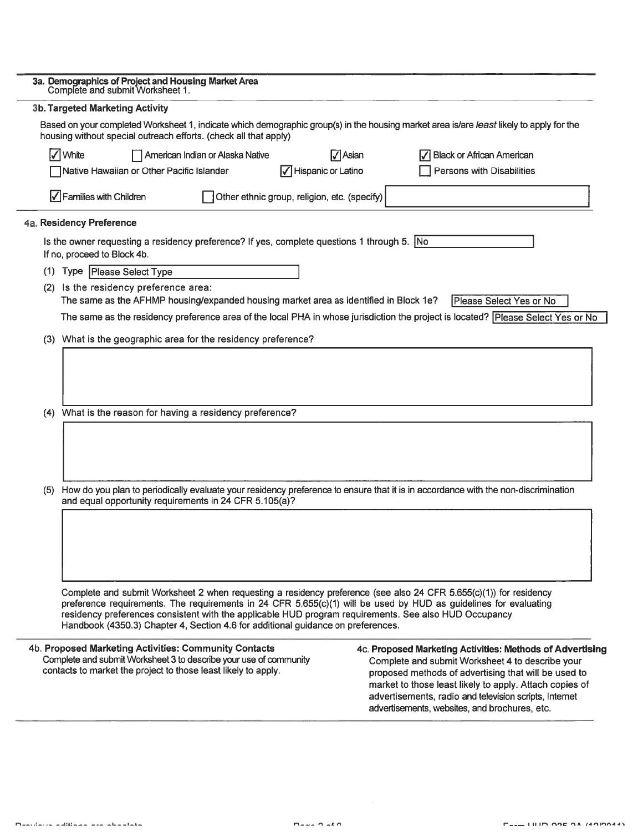|     | 3a. Demographics of Project and Housing Market Area<br>Complete and submit Worksheet 1.                                                                                                                                                                                                                                                                                                                                             |                                  |                                              |                    |                |                                               |                                  |                                                                                                                                                                                                                                                                                            |  |
|-----|-------------------------------------------------------------------------------------------------------------------------------------------------------------------------------------------------------------------------------------------------------------------------------------------------------------------------------------------------------------------------------------------------------------------------------------|----------------------------------|----------------------------------------------|--------------------|----------------|-----------------------------------------------|----------------------------------|--------------------------------------------------------------------------------------------------------------------------------------------------------------------------------------------------------------------------------------------------------------------------------------------|--|
|     | <b>3b. Targeted Marketing Activity</b>                                                                                                                                                                                                                                                                                                                                                                                              |                                  |                                              |                    |                |                                               |                                  |                                                                                                                                                                                                                                                                                            |  |
|     | Based on your completed Worksheet 1, indicate which demographic group(s) in the housing market area is/are least likely to apply for the<br>housing without special outreach efforts. (check all that apply)                                                                                                                                                                                                                        |                                  |                                              |                    |                |                                               |                                  |                                                                                                                                                                                                                                                                                            |  |
|     | √ White                                                                                                                                                                                                                                                                                                                                                                                                                             | American Indian or Alaska Native |                                              |                    | $\nabla$ Asian |                                               | <b>Black or African American</b> |                                                                                                                                                                                                                                                                                            |  |
|     | Native Hawaiian or Other Pacific Islander                                                                                                                                                                                                                                                                                                                                                                                           |                                  |                                              | Hispanic or Latino |                |                                               | Persons with Disabilities        |                                                                                                                                                                                                                                                                                            |  |
|     | $\sqrt{\phantom{a}}$ Families with Children                                                                                                                                                                                                                                                                                                                                                                                         |                                  | Other ethnic group, religion, etc. (specify) |                    |                |                                               |                                  |                                                                                                                                                                                                                                                                                            |  |
|     | 4a. Residency Preference                                                                                                                                                                                                                                                                                                                                                                                                            |                                  |                                              |                    |                |                                               |                                  |                                                                                                                                                                                                                                                                                            |  |
|     | Is the owner requesting a residency preference? If yes, complete questions 1 through 5. No<br>If no, proceed to Block 4b.                                                                                                                                                                                                                                                                                                           |                                  |                                              |                    |                |                                               |                                  |                                                                                                                                                                                                                                                                                            |  |
|     | (1) Type Please Select Type                                                                                                                                                                                                                                                                                                                                                                                                         |                                  |                                              |                    |                |                                               |                                  |                                                                                                                                                                                                                                                                                            |  |
| (2) | Is the residency preference area:                                                                                                                                                                                                                                                                                                                                                                                                   |                                  |                                              |                    |                |                                               |                                  |                                                                                                                                                                                                                                                                                            |  |
|     | The same as the AFHMP housing/expanded housing market area as identified in Block 1e?                                                                                                                                                                                                                                                                                                                                               |                                  |                                              |                    |                |                                               | Please Select Yes or No          |                                                                                                                                                                                                                                                                                            |  |
|     | The same as the residency preference area of the local PHA in whose jurisdiction the project is located? Please Select Yes or No                                                                                                                                                                                                                                                                                                    |                                  |                                              |                    |                |                                               |                                  |                                                                                                                                                                                                                                                                                            |  |
|     | (3) What is the geographic area for the residency preference?                                                                                                                                                                                                                                                                                                                                                                       |                                  |                                              |                    |                |                                               |                                  |                                                                                                                                                                                                                                                                                            |  |
|     |                                                                                                                                                                                                                                                                                                                                                                                                                                     |                                  |                                              |                    |                |                                               |                                  |                                                                                                                                                                                                                                                                                            |  |
|     |                                                                                                                                                                                                                                                                                                                                                                                                                                     |                                  |                                              |                    |                |                                               |                                  |                                                                                                                                                                                                                                                                                            |  |
|     |                                                                                                                                                                                                                                                                                                                                                                                                                                     |                                  |                                              |                    |                |                                               |                                  |                                                                                                                                                                                                                                                                                            |  |
|     | (4) What is the reason for having a residency preference?                                                                                                                                                                                                                                                                                                                                                                           |                                  |                                              |                    |                |                                               |                                  |                                                                                                                                                                                                                                                                                            |  |
|     |                                                                                                                                                                                                                                                                                                                                                                                                                                     |                                  |                                              |                    |                |                                               |                                  |                                                                                                                                                                                                                                                                                            |  |
|     |                                                                                                                                                                                                                                                                                                                                                                                                                                     |                                  |                                              |                    |                |                                               |                                  |                                                                                                                                                                                                                                                                                            |  |
|     |                                                                                                                                                                                                                                                                                                                                                                                                                                     |                                  |                                              |                    |                |                                               |                                  |                                                                                                                                                                                                                                                                                            |  |
| (5) | How do you plan to periodically evaluate your residency preference to ensure that it is in accordance with the non-discrimination                                                                                                                                                                                                                                                                                                   |                                  |                                              |                    |                |                                               |                                  |                                                                                                                                                                                                                                                                                            |  |
|     | and equal opportunity requirements in 24 CFR 5.105(a)?                                                                                                                                                                                                                                                                                                                                                                              |                                  |                                              |                    |                |                                               |                                  |                                                                                                                                                                                                                                                                                            |  |
|     |                                                                                                                                                                                                                                                                                                                                                                                                                                     |                                  |                                              |                    |                |                                               |                                  |                                                                                                                                                                                                                                                                                            |  |
|     |                                                                                                                                                                                                                                                                                                                                                                                                                                     |                                  |                                              |                    |                |                                               |                                  |                                                                                                                                                                                                                                                                                            |  |
|     |                                                                                                                                                                                                                                                                                                                                                                                                                                     |                                  |                                              |                    |                |                                               |                                  |                                                                                                                                                                                                                                                                                            |  |
|     |                                                                                                                                                                                                                                                                                                                                                                                                                                     |                                  |                                              |                    |                |                                               |                                  |                                                                                                                                                                                                                                                                                            |  |
|     | Complete and submit Worksheet 2 when requesting a residency preference (see also 24 CFR 5.655(c)(1)) for residency<br>preference requirements. The requirements in 24 CFR 5.655(c)(1) will be used by HUD as guidelines for evaluating<br>residency preferences consistent with the applicable HUD program requirements. See also HUD Occupancy<br>Handbook (4350.3) Chapter 4, Section 4.6 for additional guidance on preferences. |                                  |                                              |                    |                |                                               |                                  |                                                                                                                                                                                                                                                                                            |  |
|     |                                                                                                                                                                                                                                                                                                                                                                                                                                     |                                  |                                              |                    |                |                                               |                                  |                                                                                                                                                                                                                                                                                            |  |
|     | 4b. Proposed Marketing Activities: Community Contacts<br>Complete and submit Worksheet 3 to describe your use of community<br>contacts to market the project to those least likely to apply.                                                                                                                                                                                                                                        |                                  |                                              |                    |                | advertisements, websites, and brochures, etc. |                                  | 4c. Proposed Marketing Activities: Methods of Advertising<br>Complete and submit Worksheet 4 to describe your<br>proposed methods of advertising that will be used to<br>market to those least likely to apply. Attach copies of<br>advertisements, radio and television scripts, Internet |  |
|     |                                                                                                                                                                                                                                                                                                                                                                                                                                     |                                  |                                              |                    |                |                                               |                                  |                                                                                                                                                                                                                                                                                            |  |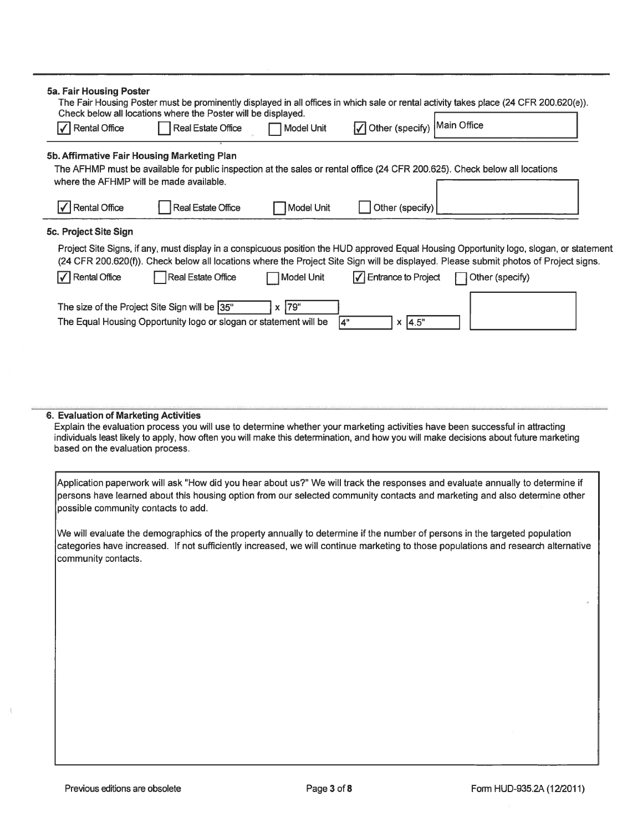| 5a. Fair Housing Poster                                                                                                                                                                                               |                                                                                                                    |                   |                                          | The Fair Housing Poster must be prominently displayed in all offices in which sale or rental activity takes place (24 CFR 200.620(e)).                                                                                                                                           |  |
|-----------------------------------------------------------------------------------------------------------------------------------------------------------------------------------------------------------------------|--------------------------------------------------------------------------------------------------------------------|-------------------|------------------------------------------|----------------------------------------------------------------------------------------------------------------------------------------------------------------------------------------------------------------------------------------------------------------------------------|--|
| √ Rental Office                                                                                                                                                                                                       | Check below all locations where the Poster will be displayed.<br><b>Real Estate Office</b>                         | <b>Model Unit</b> | ◯ Other (specify) Main Office            |                                                                                                                                                                                                                                                                                  |  |
| 5b. Affirmative Fair Housing Marketing Plan<br>The AFHMP must be available for public inspection at the sales or rental office (24 CFR 200.625). Check below all locations<br>where the AFHMP will be made available. |                                                                                                                    |                   |                                          |                                                                                                                                                                                                                                                                                  |  |
| √ Rental Office                                                                                                                                                                                                       | Real Estate Office                                                                                                 | Model Unit        | Other (specify)                          |                                                                                                                                                                                                                                                                                  |  |
| 5c. Project Site Sign                                                                                                                                                                                                 |                                                                                                                    |                   |                                          |                                                                                                                                                                                                                                                                                  |  |
|                                                                                                                                                                                                                       |                                                                                                                    |                   |                                          | Project Site Signs, if any, must display in a conspicuous position the HUD approved Equal Housing Opportunity logo, slogan, or statement<br>(24 CFR 200.620(f)). Check below all locations where the Project Site Sign will be displayed. Please submit photos of Project signs. |  |
| V Rental Office                                                                                                                                                                                                       | Real Estate Office                                                                                                 | Model Unit        | $\sqrt{\phantom{a}}$ Entrance to Project | Other (specify)                                                                                                                                                                                                                                                                  |  |
|                                                                                                                                                                                                                       | The size of the Project Site Sign will be 35"<br>The Equal Housing Opportunity logo or slogan or statement will be | $x$ 79"           | 4"<br>$x \,   4.5"$                      |                                                                                                                                                                                                                                                                                  |  |
| 6. Evaluation of Marketing Activities                                                                                                                                                                                 |                                                                                                                    |                   |                                          |                                                                                                                                                                                                                                                                                  |  |

Explain the evaluation process you will use to determine whether your marketing activities have been successful in attracting individuals least likely to apply, how often you will make this determination, and how you will make decisions about future marketing based on the evaluation process.

Application paperwork will ask "How did you heat about us?" We will track the responses and evaluate annually to determine if persons have learned about this housing option from our selected community contacts and marketing and also determine other possible community contacts to add.

We will evaluate the demographics of the property annually to determine if the number of persons in the targeted population categories have increased, If not sufficiently increased, we will continue marketing to those populations and research alternative community contacts.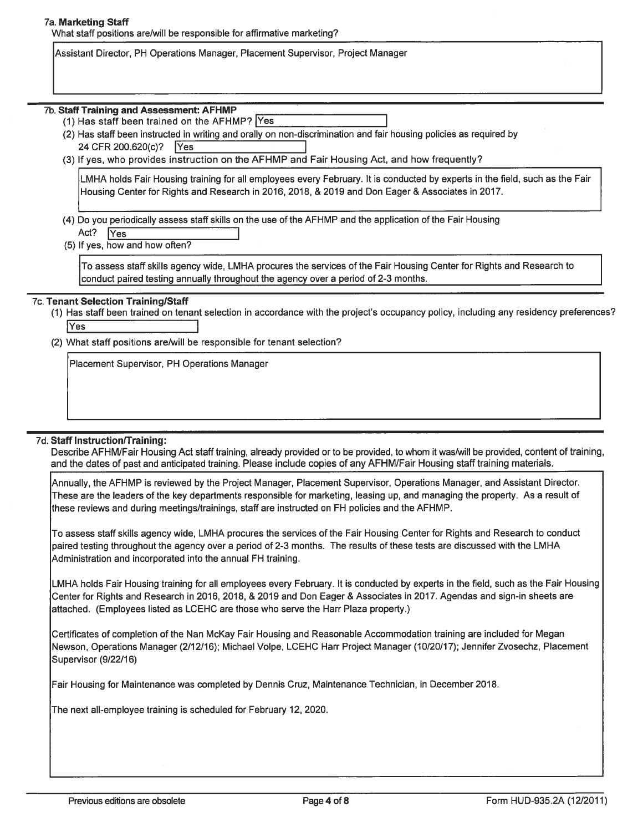#### 7a. Marketing Staff

What staff positions are/will be responsible for affirmative marketing?

Assistant Director, PH Operations Manager, Placement Supervisor, Project Manager 7a. Marketing Staff<br>
What staff positions are/will be responsible for affirmative marketing?<br>
Assistant Director, PH Operations Manager, Placement Supervisor, Project Mar<br>
7b. Staff Training and Assessment: AFHMP

- (1) Has staff been trained on the AFHMP?  $Y$ es
- (2) Has staff been instructed in writing and orally on non-discrimination and fair housing policies as required by 24 CFR 200.620(c)? | Yes
- (3) If yes, who provides instruction on the AFHMP and Fair Housing Act, and how frequently?

LMHA holds Fair Housing training for all employees every February. It is conducted by experts in the field, such as the Fair Housing Center for Rights and Research in 2016, 2018, & 2019 and Don Eager & Associates in 2017.

(4) Do you periodically assess staff skills on the use of the AFHMP and the application of the Fair Housing

Act? IYes I

(5) If yes, how and how often?

To assess staff skills agency wide, LMHA procures the services of the Fair Housing Center for Rights and Research to conduct paired testing annually throughout the agency over <sup>a</sup> period of 2-3 months.

### 7c. Tenant Selection Training/Staff

- (1) Has staff been trained on tenant selection in accordance with the project's occupancy policy, including any residency preferences?  $|{\mathsf{Yes}}|$
- (2) What staff positions are/will be responsible for tenant selection?

Placement Supervisor, PH Operations Manager

### 7d. Staff Instruction/Training:

Describe AFHM/Fair Housing Act staff training, already provided or to be provided, to whom it was/will be provided, content of training, and the dates of pas<sup>t</sup> and anticipated training. Please include copies of any AFHM/Fair Housing staff training materials.

Annually, the AFHMP is reviewed by the Project Manager, Placement Supervisor, Operations Manager, and Assistant Director. These are the leaders of the key departments responsible for marketing, leasing up, and managing the property. As <sup>a</sup> result of these reviews and during meetings/trainings, staff are instructed on FH policies and the AFHMP.

To assess staff skills agency wide, LMHA procures the services of the Fair Housing Center for Rights and Research to conduct paired testing throughout the agency over <sup>a</sup> period of 2-3 months. The results of these tests are discussed with the LMHA Administration and incorporated into the annual FH training.

LMHA holds Fair Housing training for all employees every February. It is conducted by experts in the field, such as the Fair Housing Center for Rights and Research in 2016, 2018, & 2019 and Don Eager & Associates in 2017. Agendas and sign-in sheets are attached. (Employees listed as LCEHC are those who serve the Harr Plaza property.)

Certificates of completion of the Nan McKay Fair Housing and Reasonable Accommodation training are included for Megan Newson, Operations Manager (2/12/16); Michael Volpe, LCEHC Harr Project Manager (10/20/17); Jennifer Zvosechz, Placement Supervisor (9/22/16)

Fair Housing for Maintenance was completed by Dennis Cruz, Maintenance Technician, in December 2018.

The next all-employee training is scheduled for February 12, 2020.